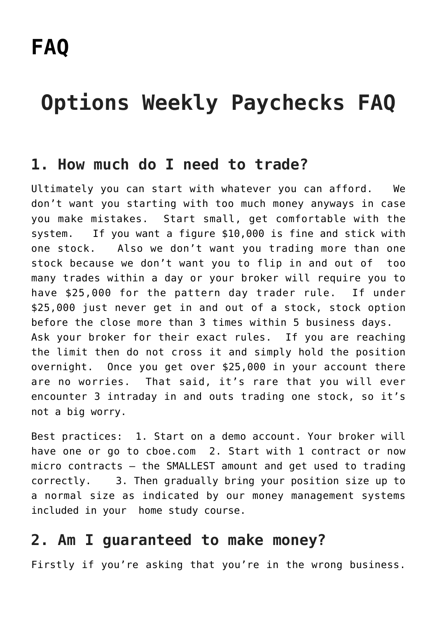# **Options Weekly Paychecks FAQ**

#### **1. How much do I need to trade?**

Ultimately you can start with whatever you can afford. We don't want you starting with too much money anyways in case you make mistakes. Start small, get comfortable with the system. If you want a figure \$10,000 is fine and stick with one stock. Also we don't want you trading more than one stock because we don't want you to flip in and out of too many trades within a day or your broker will require you to have \$25,000 for the pattern day trader rule. If under \$25,000 just never get in and out of a stock, stock option before the close more than 3 times within 5 business days. Ask your broker for their exact rules. If you are reaching the limit then do not cross it and simply hold the position overnight. Once you get over \$25,000 in your account there are no worries. That said, it's rare that you will ever encounter 3 intraday in and outs trading one stock, so it's not a big worry.

Best practices: 1. Start on a demo account. Your broker will have one or go to cboe.com 2. Start with 1 contract or now micro contracts – the SMALLEST amount and get used to trading correctly. 3. Then gradually bring your position size up to a normal size as indicated by our money management systems included in your home study course.

#### **2. Am I guaranteed to make money?**

Firstly if you're asking that you're in the wrong business.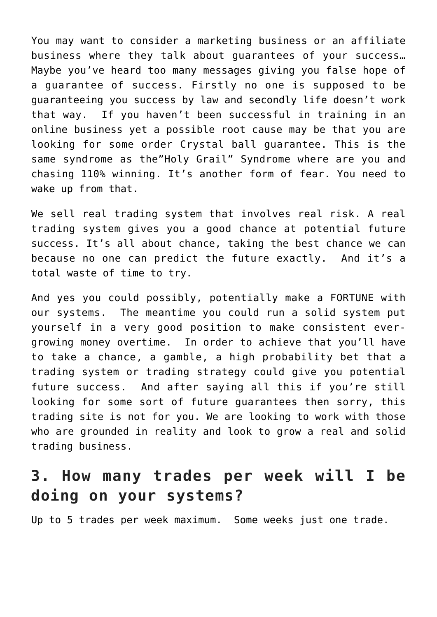You may want to consider a marketing business or an affiliate business where they talk about guarantees of your success… Maybe you've heard too many messages giving you false hope of a guarantee of success. Firstly no one is supposed to be guaranteeing you success by law and secondly life doesn't work that way. If you haven't been successful in training in an online business yet a possible root cause may be that you are looking for some order Crystal ball guarantee. This is the same syndrome as the"Holy Grail" Syndrome where are you and chasing 110% winning. It's another form of fear. You need to wake up from that.

We sell real trading system that involves real risk. A real trading system gives you a good chance at potential future success. It's all about chance, taking the best chance we can because no one can predict the future exactly. And it's a total waste of time to try.

And yes you could possibly, potentially make a FORTUNE with our systems. The meantime you could run a solid system put yourself in a very good position to make consistent evergrowing money overtime. In order to achieve that you'll have to take a chance, a gamble, a high probability bet that a trading system or trading strategy could give you potential future success. And after saying all this if you're still looking for some sort of future guarantees then sorry, this trading site is not for you. We are looking to work with those who are grounded in reality and look to grow a real and solid trading business.

## **3. How many trades per week will I be doing on your systems?**

Up to 5 trades per week maximum. Some weeks just one trade.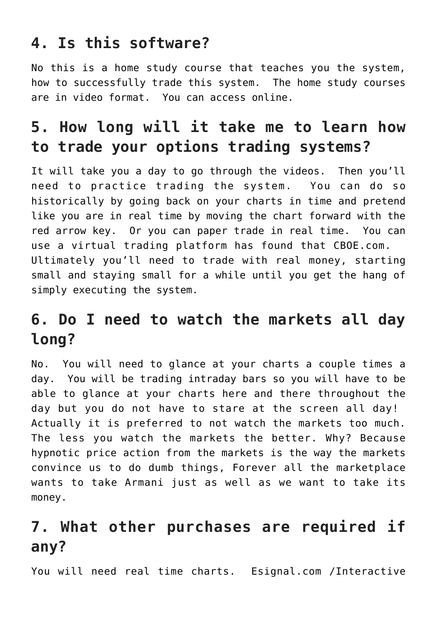## **4. Is this software?**

No this is a home study course that teaches you the system, how to successfully trade this system. The home study courses are in video format. You can access online.

# **5. How long will it take me to learn how to trade your options trading systems?**

It will take you a day to go through the videos. Then you'll need to practice trading the system. You can do so historically by going back on your charts in time and pretend like you are in real time by moving the chart forward with the red arrow key. Or you can paper trade in real time. You can use a virtual trading platform has found that CBOE.com. Ultimately you'll need to trade with real money, starting small and staying small for a while until you get the hang of simply executing the system.

## **6. Do I need to watch the markets all day long?**

No. You will need to glance at your charts a couple times a day. You will be trading intraday bars so you will have to be able to glance at your charts here and there throughout the day but you do not have to stare at the screen all day! Actually it is preferred to not watch the markets too much. The less you watch the markets the better. Why? Because hypnotic price action from the markets is the way the markets convince us to do dumb things, Forever all the marketplace wants to take Armani just as well as we want to take its money.

## **7. What other purchases are required if any?**

You will need real time charts. Esignal.com /Interactive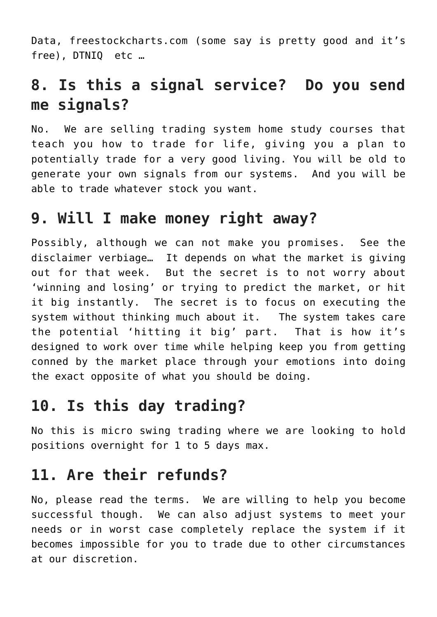Data, freestockcharts.com (some say is pretty good and it's free), DTNIQ etc …

## **8. Is this a signal service? Do you send me signals?**

No. We are selling trading system home study courses that teach you how to trade for life, giving you a plan to potentially trade for a very good living. You will be old to generate your own signals from our systems. And you will be able to trade whatever stock you want.

#### **9. Will I make money right away?**

Possibly, although we can not make you promises. See the disclaimer verbiage… It depends on what the market is giving out for that week. But the secret is to not worry about 'winning and losing' or trying to predict the market, or hit it big instantly. The secret is to focus on executing the system without thinking much about it. The system takes care the potential 'hitting it big' part. That is how it's designed to work over time while helping keep you from getting conned by the market place through your emotions into doing the exact opposite of what you should be doing.

## **10. Is this day trading?**

No this is micro swing trading where we are looking to hold positions overnight for 1 to 5 days max.

## **11. Are their refunds?**

No, please read the terms. We are willing to help you become successful though. We can also adjust systems to meet your needs or in worst case completely replace the system if it becomes impossible for you to trade due to other circumstances at our discretion.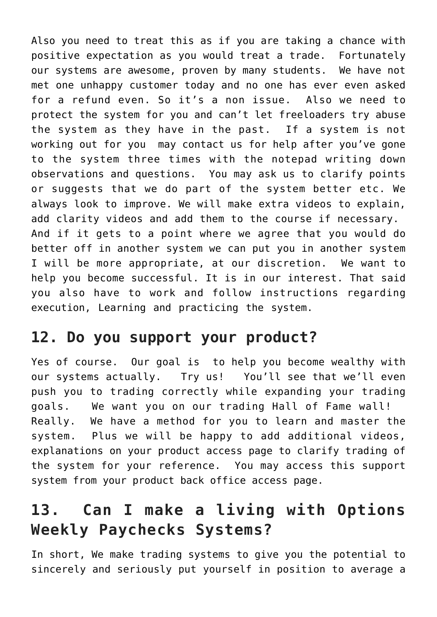Also you need to treat this as if you are taking a chance with positive expectation as you would treat a trade. Fortunately our systems are awesome, proven by many students. We have not met one unhappy customer today and no one has ever even asked for a refund even. So it's a non issue. Also we need to protect the system for you and can't let freeloaders try abuse the system as they have in the past. If a system is not working out for you may contact us for help after you've gone to the system three times with the notepad writing down observations and questions. You may ask us to clarify points or suggests that we do part of the system better etc. We always look to improve. We will make extra videos to explain, add clarity videos and add them to the course if necessary. And if it gets to a point where we agree that you would do better off in another system we can put you in another system I will be more appropriate, at our discretion. We want to help you become successful. It is in our interest. That said you also have to work and follow instructions regarding execution, Learning and practicing the system.

## **12. Do you support your product?**

Yes of course. Our goal is to help you become wealthy with our systems actually. Try us! You'll see that we'll even push you to trading correctly while expanding your trading goals. We want you on our trading Hall of Fame wall! Really. We have a method for you to learn and master the system. Plus we will be happy to add additional videos, explanations on your product access page to clarify trading of the system for your reference. You may access this support system from your product back office access page.

# **13. Can I make a living with Options Weekly Paychecks Systems?**

In short, We make trading systems to give you the potential to sincerely and seriously put yourself in position to average a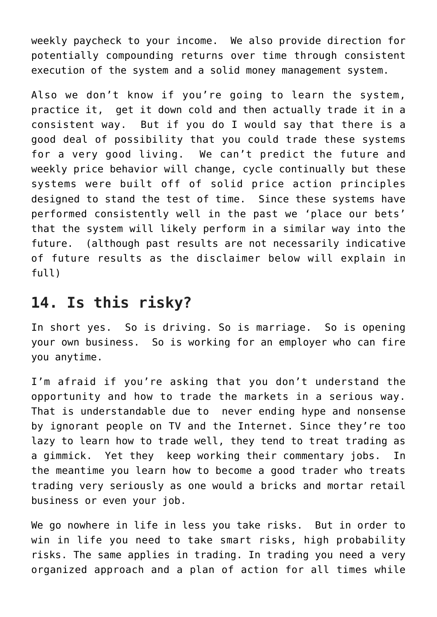weekly paycheck to your income. We also provide direction for potentially compounding returns over time through consistent execution of the system and a solid money management system.

Also we don't know if you're going to learn the system, practice it, get it down cold and then actually trade it in a consistent way. But if you do I would say that there is a good deal of possibility that you could trade these systems for a very good living. We can't predict the future and weekly price behavior will change, cycle continually but these systems were built off of solid price action principles designed to stand the test of time. Since these systems have performed consistently well in the past we 'place our bets' that the system will likely perform in a similar way into the future. (although past results are not necessarily indicative of future results as the disclaimer below will explain in full)

#### **14. Is this risky?**

In short yes. So is driving. So is marriage. So is opening your own business. So is working for an employer who can fire you anytime.

I'm afraid if you're asking that you don't understand the opportunity and how to trade the markets in a serious way. That is understandable due to never ending hype and nonsense by ignorant people on TV and the Internet. Since they're too lazy to learn how to trade well, they tend to treat trading as a gimmick. Yet they keep working their commentary jobs. In the meantime you learn how to become a good trader who treats trading very seriously as one would a bricks and mortar retail business or even your job.

We go nowhere in life in less you take risks. But in order to win in life you need to take smart risks, high probability risks. The same applies in trading. In trading you need a very organized approach and a plan of action for all times while